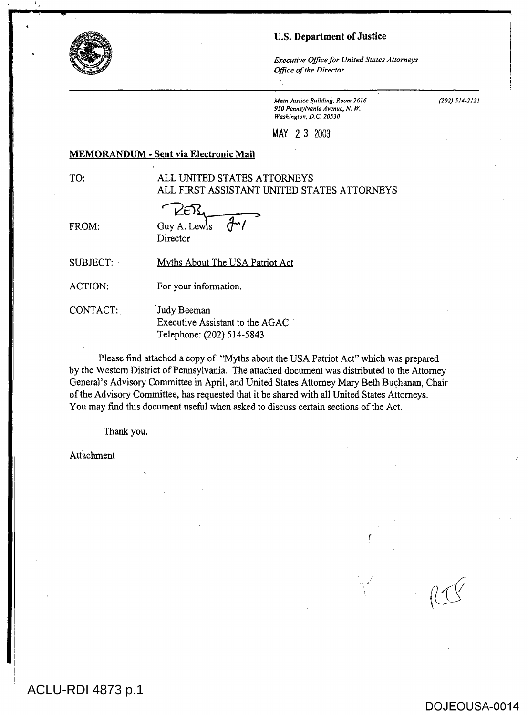#### U.S. Department of Justice

*Executive Office for United States Attorneys Office of the Director* 

*Main Justice Building,* Room 2616 *950 Pennsylvania Avenue, N. W.*  Washington, D.C. 20530

(202) 514-2121

# MAY 2 3 2003

#### MEMORANDUM - Sent via Electronic Mail

# TO: ALL UNITED STATES ATTORNEYS ALL FIRST ASSISTANT UNITED STATES ATTORNEYS

FROM: Guy A. Lews  $\dot{d}$ <sup>-1</sup>/ Director

SUBJECT: Myths About The USA Patriot Act

ACTION: For your information.

CONTACT: Judy Beeman Executive Assistant to the AGAC Telephone: (202) 514-5843

Please find attached a copy of "Myths about the USA Patriot Act" which was prepared by the Western District of Pennsylvania. The attached document was distributed to the Attorney General's Advisory Committee in April, and United States Attorney Mary Beth Buchanan, Chair of the Advisory Committee, has requested that it be shared with all United States Attorneys. You may find this document useful when asked to discuss certain sections of the Act.

Thank you.

Attachment

ACLU-RDI 4873 p.1

 $\mathbb{I}$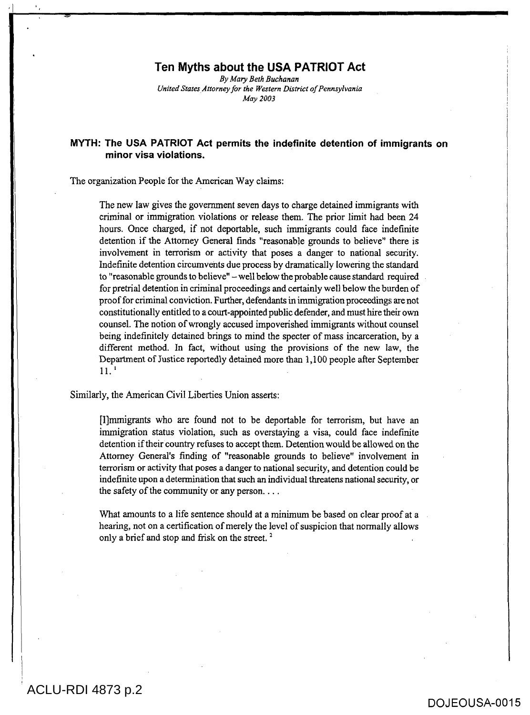#### **Ten Myths about the USA PATRIOT Act**

*By Mary Beth Buchanan United States Attorney for the Western District of Pennsylvania May 2003* 

# **MYTH: The USA PATRIOT Act permits the indefinite detention of immigrants on minor visa violations.**

The organization People for the American Way claims:

The new law gives the government seven days to charge detained immigrants with criminal or immigration violations or release them. The prior limit had been 24 hours. Once charged, if not deportable, such immigrants could face indefinite detention if the Attorney General finds "reasonable grounds to believe" there is involvement in terrorism or activity that poses a danger to national security. Indefinite detention circumvents due process by dramatically lowering the standard to "reasonable grounds to believe" — well below the probable cause standard required for pretrial detention in criminal proceedings and certainly well below the burden of proof for criminal conviction. Further, defendants in immigration proceedings are not constitutionally entitled to a court-appointed public defender, and must hire their own counsel. The notion of wrongly accused impoverished immigrants without counsel being indefinitely detained brings to mind the specter of mass incarceration, by a different method. In fact, without using the provisions of the new law, the Department of Justice reportedly detained more than 1,100 people after September  $11<sup>-1</sup>$ 

#### Similarly, the American Civil Liberties Union asserts:

Mmmigrants who are found not to be deportable for terrorism, but have an immigration status violation, such as overstaying a visa, could face indefinite detention if their country refuses to accept them. Detention would be allowed on the Attorney General's finding of "reasonable grounds to believe" involvement in terrorism or activity that poses a danger to national security, and detention could be indefinite upon a determination that such an individual threatens national security, or the safety of the community or any person. . . .

What amounts to a life sentence should at a minimum be based on clear proof at a hearing, not on a certification of merely the level of suspicion that normally allows only a brief and stop and frisk on the street.<sup>2</sup>

# ACLU-RDI 4873 p.2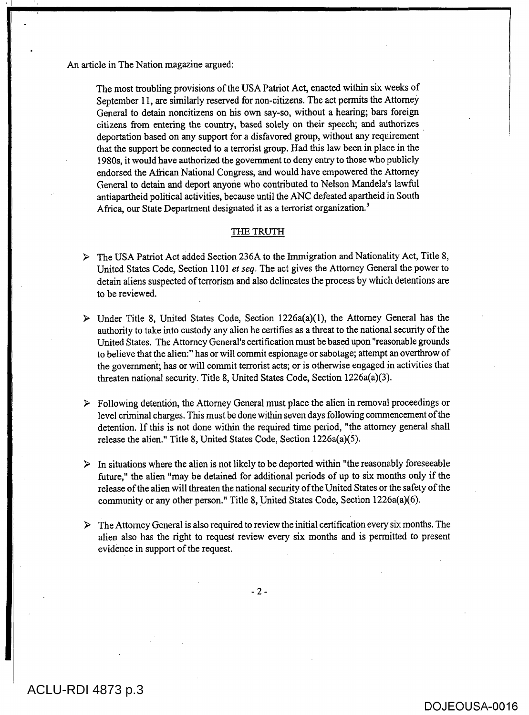An article in The Nation magazine argued:

The most troubling provisions of the USA Patriot Act, enacted within six weeks of September 11, are similarly reserved for non-citizens. The act permits the Attorney General to detain noncitizens on his own say-so, without a hearing; bars foreign citizens from entering the country, based solely on their speech; and authorizes deportation based on any support for a disfavored group, without any requirement that the support be connected to a terrorist group. Had this law been in place in the 1980s, it would have authorized the government to deny entry to those who publicly endorsed the African National Congress, and would have empowered the Attorney General to detain and deport anyone who contributed to Nelson Mandela's lawful antiapartheid political activities, because until the ANC defeated apartheid in South Africa, our State Department designated it as a terrorist organization.<sup>3</sup>

#### THE TRUTH

- > The USA Patriot Act added Section 236A to the Immigration and Nationality Act, Title 8, United States Code, Section 1101 *et seq.* The act gives the Attorney General the power to detain aliens suspected of terrorism and also delineates the process by which detentions are to be reviewed.
- $\triangleright$  Under Title 8, United States Code, Section 1226a(a)(1), the Attorney General has the authority to take into custody any alien he certifies as a threat to the national security of the United States. The Attorney General's certification must be based upon "reasonable grounds to believe that the alien:" has or will commit espionage or sabotage; attempt an overthrow of the government; has or will commit terrorist acts; or is otherwise engaged in activities that threaten national security. Title 8, United States Code, Section 1226a(a)(3).
- $\triangleright$  Following detention, the Attorney General must place the alien in removal proceedings or level criminal charges. This must be done within seven days following commencement of the detention. If this is not done within the required time period, "the attorney general shall release the alien." Title 8, United States Code, Section 1226a(a)(5).
- $\triangleright$  In situations where the alien is not likely to be deported within "the reasonably foreseeable future," the alien "may be detained for additional periods of up to six months only if the release of the alien will threaten the national security of the United States or the safety of the community or any other person." Title 8, United States Code, Section 1226a(a)(6).
- $\triangleright$  The Attorney General is also required to review the initial certification every six months. The alien also has the right to request review every six months and is permitted to present evidence in support of the request.

 $- 2 -$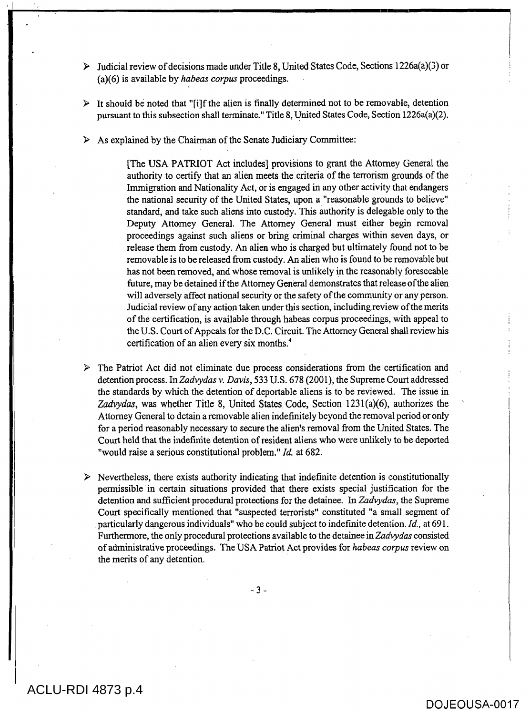- $\triangleright$  Judicial review of decisions made under Title 8, United States Code, Sections 1226a(a)(3) or (a)(6) is available by *habeas corpus* proceedings.
- $\triangleright$  It should be noted that "[i]f the alien is finally determined not to be removable, detention pursuant to this subsection shall terminate." Title 8, United States Code, Section 1226a(a)(2).
- $\triangleright$  As explained by the Chairman of the Senate Judiciary Committee:

[The USA PATRIOT Act includes] provisions to grant the Attorney General the authority to certify that an alien meets the criteria of the terrorism grounds of the Immigration and Nationality Act, or is engaged in any other activity that endangers the national security of the United States, upon a "reasonable grounds to believe" standard, and take such aliens into custody. This authority is delegable only to the Deputy Attorney General, The Attorney General must either begin removal proceedings against such aliens or bring criminal charges within seven days, or release them from custody. An alien who is charged but ultimately found not to be removable is to be released from custody. An alien who is found to be removable but has not been removed, and whose removal is unlikely in the reasonably foreseeable future, may be detained if the Attorney General demonstrates that release of the alien will adversely affect national security or the safety of the community or any person. Judicial review of any action taken under this section, including review of the merits of the certification, is available through habeas corpus proceedings, with appeal to the U.S. Court of Appeals for the D.C. Circuit. The Attorney General shall review his certification of an alien every six months.'

 $\triangleright$  The Patriot Act did not eliminate due process considerations from the certification and detention process. In *Zadvydas v. Davis,* 533 U.S. 678 (2001), the Supreme Court addressed the standards by which the detention of deportable aliens is to be reviewed. The issue in Zadvydas, was whether Title 8, United States Code, Section 1231(a)(6), authorizes the Attorney General to detain a removable alien indefinitely beyond the removal period or only for a period reasonably necessary to secure the alien's removal from the United States. The Court held that the indefinite detention of resident aliens who were unlikely to be deported "would raise a serious constitutional problem." *Id.* at 682.

 $\triangleright$  Nevertheless, there exists authority indicating that indefinite detention is constitutionally permissible in certain situations provided that there exists special justification for the detention and sufficient procedural protections for the detainee. In *Zadvydas,* the Supreme Court specifically mentioned that "suspected terrorists" constituted "a small segment of particularly dangerous individuals" who be could subject to indefinite detention. *Id.,* at 691. Furthermore, the only procedural protections available to the detainee in *Zadvydas* consisted of administrative proceedings. The USA Patriot Act provides for *habeas corpus* review on the merits of any detention.

 $-3 -$ 

# ACLU-RDI 4873 p.4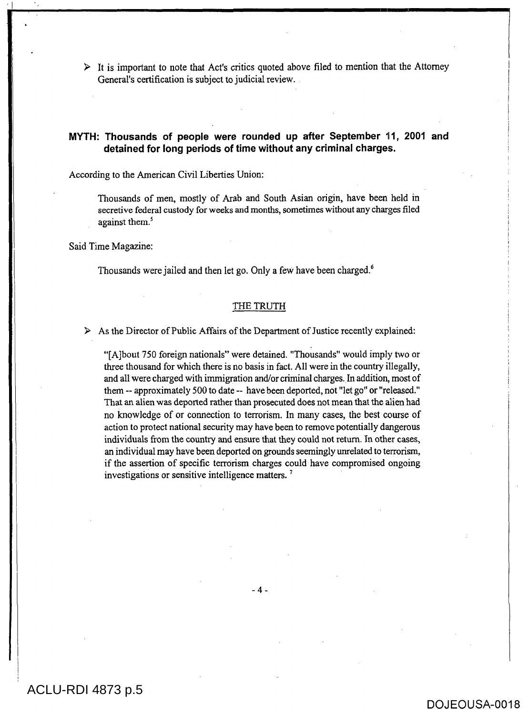$\triangleright$  It is important to note that Act's critics quoted above filed to mention that the Attorney General's certification is subject to judicial review.

# MYTH: Thousands of people were rounded up after September 11, 2001 and **detained for long periods of time without any criminal charges.**

According to the American Civil Liberties Union:

Thousands of men, mostly of Arab and South Asian origin, have been held in secretive federal custody for weeks and months, sometimes without any charges filed against them.<sup>5</sup>

Said Time Magazine:

Thousands were jailed and then let go. Only a few have been charged.'

#### THE TRUTH

> As the Director of Public Affairs of the Department of Justice recently explained:

"[A]bout 750 foreign nationals" were detained. "Thousands" would imply two or three thousand for which there is no basis in fact. All were in the country illegally, and all were charged with immigration and/or criminal charges. In addition, most of them -- approximately 500 to date -- have been deported, not "let go" or "released." That an alien was deported rather than prosecuted does not mean that the alien had no knowledge of or connection to terrorism. In many cases, the best course of action to protect national security may have been to remove potentially dangerous individuals from the country and ensure that they could not return. In other cases, an individual may have been deported on grounds seemingly unrelated to terrorism, if the assertion of specific terrorism charges could have compromised ongoing investigations or sensitive intelligence matters.

# ACLU-RDI 4873 p.5

# DOJEOUSA-0018

i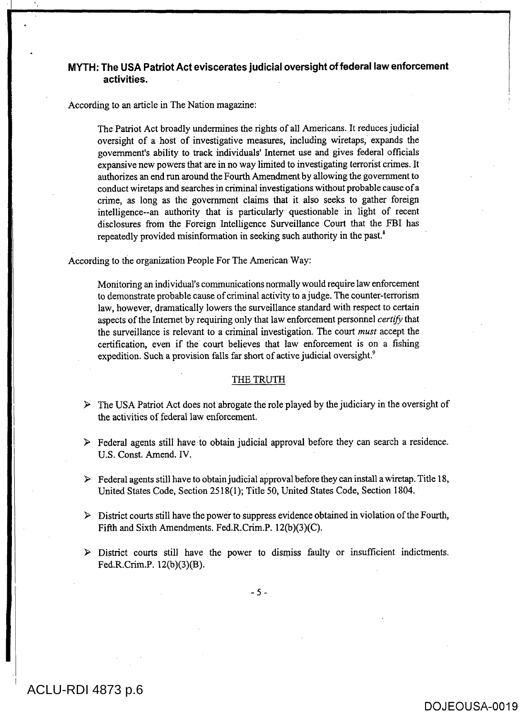# **MYTH: The USA Patriot Act eviscerates judicial oversight of federal law enforcement activities.**

According to an article in The Nation magazine:

The Patriot Act broadly undermines the rights of all Americans. It reduces judicial oversight of a host of investigative measures, including wiretaps, expands the government's ability to track individuals' Internet use and gives federal officials expansive new powers that are in no way limited to investigating terrorist crimes. It authorizes an end run around the Fourth Amendment by allowing the government to conduct wiretaps and searches in criminal investigations without probable cause of a crime, as long as the government claims that it also seeks to gather foreign intelligence--an authority that is particularly questionable in light of recent disclosures from the Foreign Intelligence Surveillance Court that the FBI has repeatedly provided misinformation in seeking such authority in the past.<sup>8</sup>

According to the organization People For The American Way:

Monitoring an individual's communications normally would require law enforcement to demonstrate probable cause of criminal activity to a judge. The counter-terrorism law, however, dramatically lowers the surveillance standard with respect to certain aspects of the Internet by requiring only that law enforcement personnel *certifj)* that the surveillance is relevant to a criminal investigation. The court *must* accept the certification, even if the court believes that law enforcement is on a fishing expedition. Such a provision falls far short of active judicial oversight.<sup>9</sup>

#### THE TRUTH

- $\triangleright$  The USA Patriot Act does not abrogate the role played by the judiciary in the oversight of the activities of federal law enforcement.
- $\triangleright$  Federal agents still have to obtain judicial approval before they can search a residence. U.S. Const. Amend. IV.
- $\triangleright$  Federal agents still have to obtain judicial approval before they can install a wiretap. Title 18, United States Code, Section 2518(1); Title 50, United States Code, Section 1804.
- $\triangleright$  District courts still have the power to suppress evidence obtained in violation of the Fourth, Fifth and Sixth Amendments. Fed.R.Crim.P. 12(b)(3)(C).
- > District courts still have the power to dismiss faulty or insufficient indictments. Fed.R.Crim.P. 12(b)(3)(B).

 $-5 -$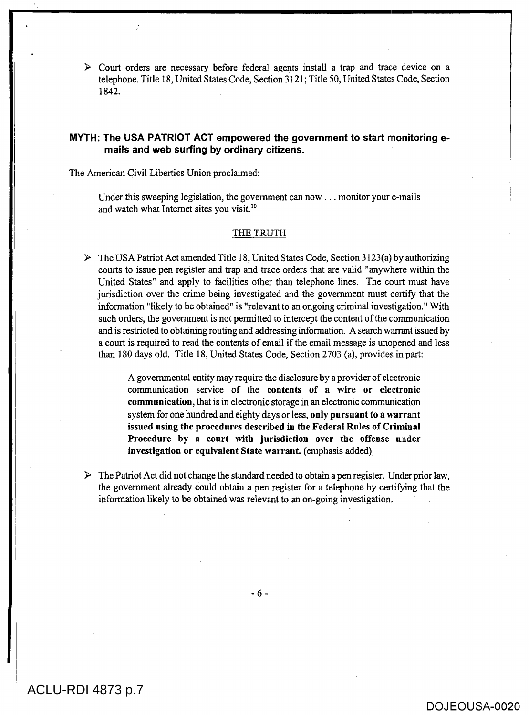$\triangleright$  Court orders are necessary before federal agents install a trap and trace device on a telephone. Title 18, United States Code, Section 3121; Title 50, United States Code, Section 1842.

### **MYTH: The USA PATRIOT ACT empowered the government to start monitoring emails and web surfing by ordinary citizens.**

The American Civil Liberties Union proclaimed:

Under this sweeping legislation, the government can now . . . monitor your e-mails and watch what Internet sites you visit.'

#### THE TRUTH

 $\triangleright$  The USA Patriot Act amended Title 18, United States Code, Section 3123(a) by authorizing courts to issue pen register and trap and trace orders that are valid "anywhere within the United States" and apply to facilities other than telephone lines. The court must have jurisdiction over the crime being investigated and the government must certify that the information "likely to be obtained" is "relevant to an ongoing criminal investigation." With such orders, the government is not permitted to intercept the content of the communication and is restricted to obtaining routing and addressing information. A search warrant issued by a court is required to read the contents of email if the email message is unopened and less than 180 days old. Title 18, United States Code, Section 2703 (a), provides in part:

> A governmental entity may require the disclosure by a provider of electronic communication service of the **contents of a wire or electronic communication,** that is in electronic storage in an electronic communication system for one hundred and eighty days or less, **only pursuant to a warrant issued using the procedures described in the Federal Rules of Criminal Procedure by a court with jurisdiction over the offense under investigation or equivalent State warrant.** (emphasis added)

 $\triangleright$  The Patriot Act did not change the standard needed to obtain a pen register. Under prior law, the government already could obtain a pen register for a telephone by certifying that the information likely to be obtained was relevant to an on-going investigation.

- 6 -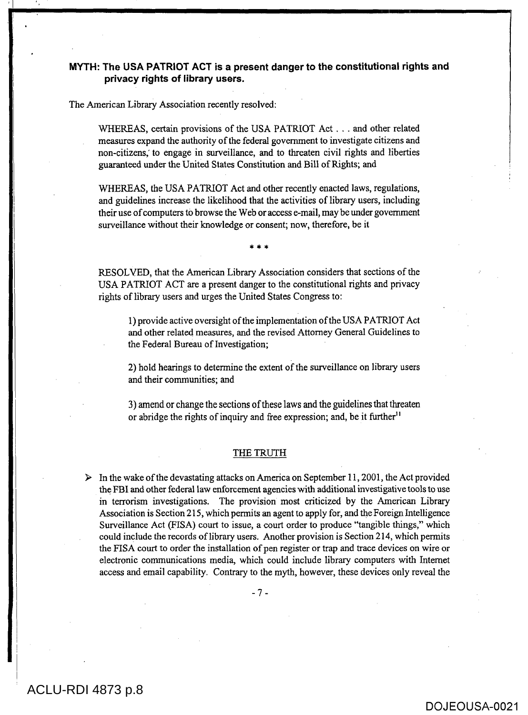## **MYTH: The USA PATRIOT ACT is a present danger to the constitutional rights and privacy rights of library users.**

The American Library Association recently resolved:

WHEREAS, certain provisions of the USA PATRIOT Act . . . and other related measures expand the authority of the federal government to investigate citizens and non-citizens; to engage in surveillance, and to threaten civil rights and liberties guaranteed under the United States Constitution and Bill of Rights; and

WHEREAS, the USA PATRIOT Act and other recently enacted laws, regulations, and guidelines increase the likelihood that the activities of library users, including their use of computers to browse the Web or access e-mail, may be under government surveillance without their knowledge or consent; now, therefore, be it

\* \* \*

RESOLVED, that the American Library Association considers that sections of the USA PATRIOT ACT are a present danger to the constitutional rights and privacy rights of library users and urges the United States Congress to:

1) provide active oversight of the implementation of the USA PATRIOT Act and other related measures, and the revised Attorney General Guidelines to the Federal Bureau of Investigation;

2) hold hearings to determine the extent of the surveillance on library users and their communities; and

3)amend or change the sections of these laws and the guidelines that threaten or abridge the rights of inquiry and free expression; and, be it further<sup>11</sup>

#### THE TRUTH

 $\triangleright$  In the wake of the devastating attacks on America on September 11, 2001, the Act provided the FBI and other federal law enforcement agencies with additional investigative tools to use in terrorism investigations. The provision most criticized by the American Library Association is Section 215, which permits an agent to apply for, and the Foreign Intelligence Surveillance Act (FISA) court to issue, a court order to produce "tangible things," which could include the records of library users. Another provision is Section 214, which permits the FISA court to order the installation of pen register or trap and trace devices on wire or electronic communications media, which could include library computers with Internet access and email capability. Contrary to the myth, however, these devices only reveal the

- 7 -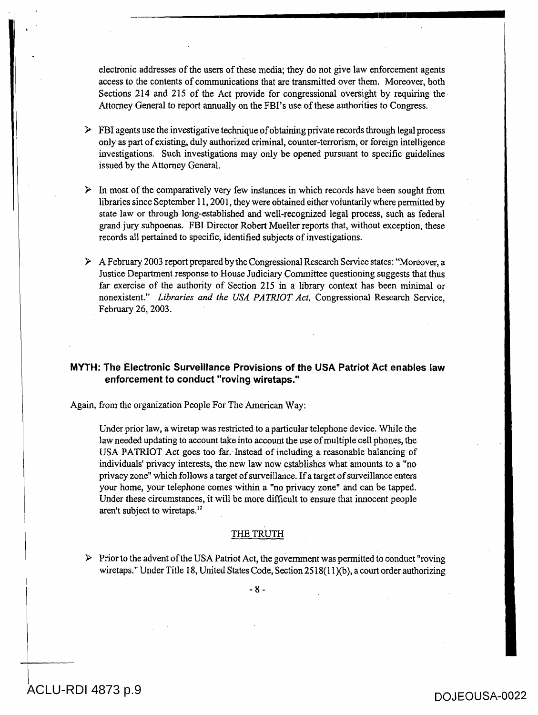electronic addresses of the users of these media; they do not give law enforcement agents access to the contents of communications that are transmitted over them. Moreover, both Sections 214 and 215 of the Act provide for congressional oversight by requiring the Attorney General to report annually on the FBI's use of these authorities to Congress.

- $\triangleright$  FBI agents use the investigative technique of obtaining private records through legal process only as part of existing, duly authorized criminal, counter-terrorism, or foreign intelligence investigations. Such investigations may only be opened pursuant to specific guidelines issued by the Attorney General.
- $\triangleright$  In most of the comparatively very few instances in which records have been sought from libraries since September 11, 2001, they were obtained either voluntarily where permitted by state law or through long-established and well-recognized legal process, such as federal grand jury subpoenas. FBI Director Robert Mueller reports that, without exception, these records all pertained to specific, identified subjects of investigations.
- $\triangleright$  A February 2003 report prepared by the Congressional Research Service states: "Moreover, a Justice Department response to House Judiciary Committee questioning suggests that thus far exercise of the authority of Section 215 in a library context has been minimal or nonexistent." *Libraries and the USA PATRIOT Act,* Congressional Research Service, February 26, 2003.

# **MYTH: The Electronic Surveillance Provisions of the USA Patriot Act enables law enforcement to conduct "roving wiretaps."**

Again, from the organization People For The American Way:

Under prior law, a wiretap was restricted to a particular telephone device. While the law needed updating to account take into account the use of multiple cell phones, the USA PATRIOT Act goes too far. Instead of including a reasonable balancing of individuals' privacy interests, the new law now establishes what amounts to a "no privacy zone" which follows a target of surveillance. If a target of surveillance enters your home, your telephone comes within a "no privacy zone" and can be tapped. Under these circumstances, it will be more difficult to ensure that innocent people aren't subject to wiretaps.<sup>12</sup>

# THE TRUTH

 $\triangleright$  Prior to the advent of the USA Patriot Act, the government was permitted to conduct "roving" wiretaps." Under Title 18, United States Code, Section 2518(11)(b), a court order authorizing

- 8 -

DOJEOUSA-0022 ACLU-RDI 4873 p.9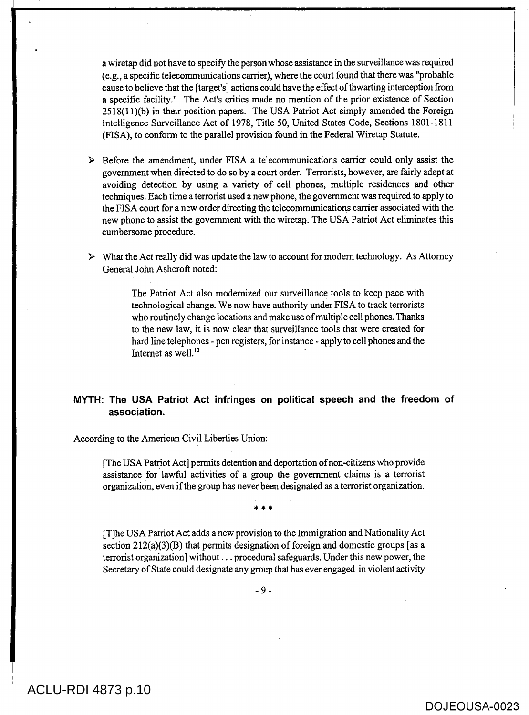a wiretap did not have to specify the person whose assistance in the surveillance was required (e.g., a specific telecommunications carrier), where the court found that there was "probable cause to believe that the [target's] actions could have the effect of thwarting interception from a specific facility." The Act's critics made no mention of the prior existence of Section 2518(11)(b) in their position papers. The USA Patriot Act simply amended the Foreign Intelligence Surveillance Act of 1978, Title 50, United States Code, Sections 1801-1811 (FISA), to conform to the parallel provision found in the Federal Wiretap Statute.

- $\triangleright$  Before the amendment, under FISA a telecommunications carrier could only assist the government when directed to do so by a court order. Terrorists, however, are fairly adept at avoiding detection by using a variety of cell phones, multiple residences and other techniques. Each time a terrorist used a new phone, the government was required to apply to the FISA court for a new order directing the telecommunications carrier associated with the new phone to assist the government with the wiretap. The USA Patriot Act eliminates this cumbersome procedure.
- $\triangleright$  What the Act really did was update the law to account for modern technology. As Attorney General John Ashcroft noted:

The Patriot Act also modernized our surveillance tools to keep pace with technological change. We now have authority under FISA to track terrorists who routinely change locations and make use of multiple cell phones. Thanks to the new law, it is now clear that surveillance tools that were created for hard line telephones - pen registers, for instance - apply to cell phones and the Internet as well.<sup>13</sup>

# **MYTH: The USA Patriot Act infringes on political speech and the freedom of association.**

According to the American Civil Liberties Union:

[The USA Patriot Act] permits detention and deportation of non-citizens who provide assistance for lawful activities of a group the government claims is a terrorist organization, even if the group has never been designated as a terrorist organization.

\* \* \*

[T]he USA Patriot Act adds a new provision to the Immigration and Nationality Act section 212(a)(3)(B) that permits designation of foreign and domestic groups [as a terrorist organization] without . . . procedural safeguards. Under this new power, the Secretary of State could designate any group that has ever engaged in violent activity

- 9 -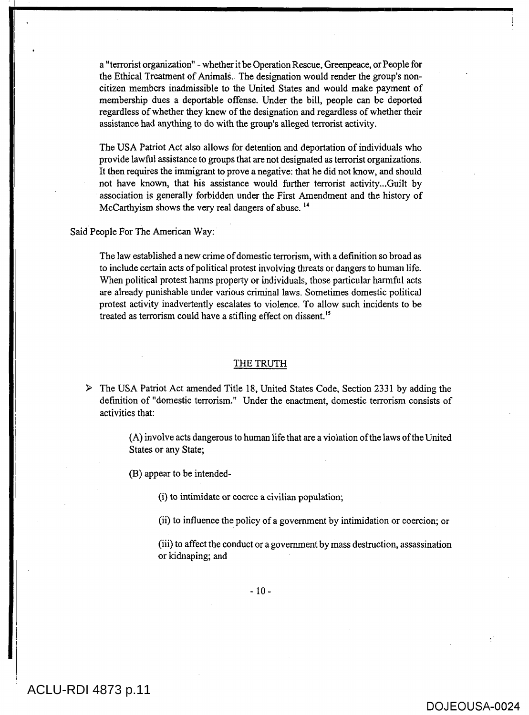a "terrorist organization" - whether it be Operation Rescue, Greenpeace, or People for the Ethical Treatment of AnimalS. The designation would render the group's noncitizen members inadmissible to the United States and would make payment of membership dues a deportable offense. Under the bill, people can be deported regardless of whether they knew of the designation and regardless of whether their assistance had anything to do with the group's alleged terrorist activity.

The USA Patriot Act also allows for detention and deportation of individuals who provide lawful assistance to groups that are not designated as terrorist organizations. It then requires the immigrant to prove a negative: that he did not know, and should not have known, that his assistance would further terrorist activity...Guilt by association is generally forbidden under the First Amendment and the history of McCarthyism shows the very real dangers of abuse.  $14$ 

Said People For The American Way:

The law established a new crime of domestic terrorism, with a definition so broad as to include certain acts of political protest involving threats or dangers to human life. When political protest harms property or individuals, those particular harmful acts are already punishable under various criminal laws. Sometimes domestic political protest activity inadvertently escalates to violence. To allow such incidents to be treated as terrorism could have a stifling effect on dissent.<sup>15</sup>

#### THE TRUTH

> The USA Patriot Act amended Title 18, United States Code, Section 2331 by adding the definition of "domestic terrorism." Under the enactment, domestic terrorism consists of activities that:

> (A) involve acts dangerous to human life that are a violation of the laws of the United States or any State;

(B) appear to be intended-

(i) to intimidate or coerce a civilian population;

(ii) to influence the policy of a government by intimidation or coercion; or

(iii) to affect the conduct or a government by mass destruction, assassination or kidnaping; and

 $-10-$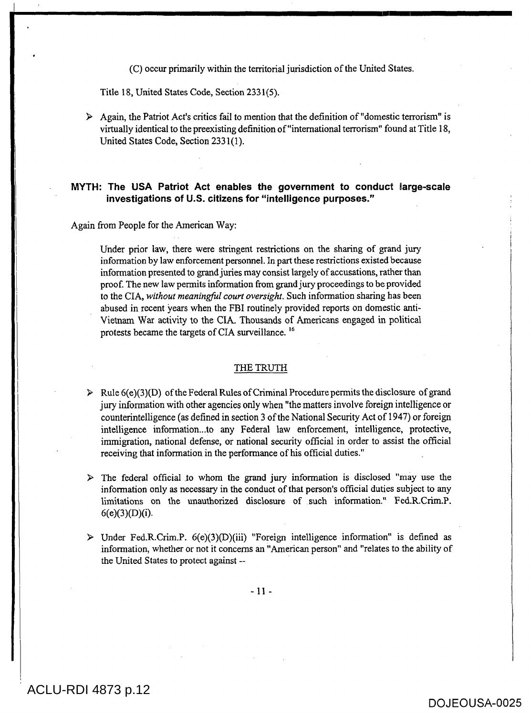(C) occur primarily within the territorial jurisdiction of the United States.

Title 18, United States Code, Section 2331(5).

 $\triangleright$  Again, the Patriot Act's critics fail to mention that the definition of "domestic terrorism" is virtually identical to the preexisting definition of "international terrorism" found at Title 18, United States Code, Section 2331(1).

## **MYTH: The USA Patriot Act enables the government to conduct large-scale investigations of U.S. citizens for "intelligence purposes."**

#### Again from People for the American Way:

Under prior law, there were stringent restrictions on the sharing of grand jury information by law enforcement personnel. In part these restrictions existed because information presented to grand juries may consist largely of accusations, rather than proof. The new law permits information from grand jury proceedings to be provided to the CIA, *without meaningful court oversight.* Such information sharing has been abused in recent years when the FBI routinely provided reports on domestic anti-Vietnam War activity to the CIA. Thousands of Americans engaged in political protests became the targets of CIA surveillance. 16

## THE TRUTH

 $\triangleright$  Rule 6(e)(3)(D) of the Federal Rules of Criminal Procedure permits the disclosure of grand jury information with other agencies only when "the matters involve foreign intelligence or counterintelligence (as defined in section 3 of the National Security Act of 1947) or foreign intelligence information...to any Federal law enforcement, intelligence, protective, immigration, national defense, or national security official in order to assist the official receiving that information in the performance of his official duties."

 $\triangleright$  The federal official to whom the grand jury information is disclosed "may use the information only as necessary in the conduct of that person's official duties subject to any limitations on the unauthorized disclosure of such information." Fed.R.Crim.P. 6(e)(3)(D)(i).

 $\triangleright$  Under Fed.R.Crim.P. 6(e)(3)(D)(iii) "Foreign intelligence information" is defined as information, whether or not it concerns an "American person" and "relates to the ability of the United States to protect against --

 $-11 -$ 

ACLU-RDI 4873 p.12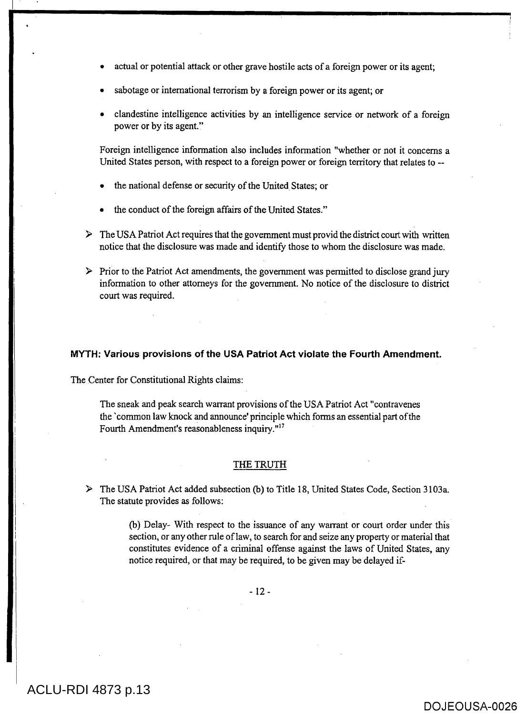- actual or potential attack or other grave hostile acts of a foreign power or its agent;
- sabotage or international terrorism by a foreign power or its agent; or
- clandestine intelligence activities by an intelligence service or network of a foreign power or by its agent."

Foreign intelligence information also includes information "whether or not it concerns a United States person, with respect to a foreign power or foreign territory that relates to --

- the national defense or security of the United States; or
- the conduct of the foreign affairs of the United States."
- $\triangleright$  The USA Patriot Act requires that the government must provid the district court with written notice that the disclosure was made and identify those to whom the disclosure was made.

 $\triangleright$  Prior to the Patriot Act amendments, the government was permitted to disclose grand jury information to other attorneys for the government. No notice of the disclosure to district court was required.

#### **MYTH: Various provisions of the USA Patriot Act violate the Fourth Amendment.**

The Center for Constitutional Rights claims:

The sneak and peak search warrant provisions of the USA Patriot Act "contravenes the 'common law knock and announce' principle which forms an essential part of the Fourth Amendment's reasonableness inquiry."<sup>17</sup>

#### THE TRUTH

> The USA Patriot Act added subsection (b) to Title 18, United States Code, Section 3103a. The statute provides as follows:

> (b) Delay- With respect to the issuance of any warrant or court order under this section, or any other rule of law, to search for and seize any property or material that constitutes evidence of a criminal offense against the laws of United States, any notice required, or that may be required, to be given may be delayed if-

> > - 12 -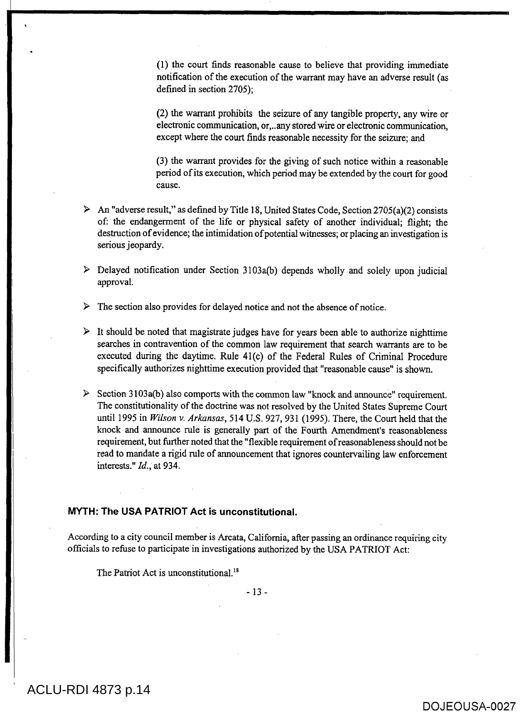(1) the court finds reasonable cause to believe that providing immediate notification of the execution of the warrant may have an adverse result (as defined in section 2705);

(2) the warrant prohibits the seizure of any tangible property, any wire or electronic communication, or,..any stored wire or electronic communication, except where the court finds reasonable necessity for the seizure; and

(3) the warrant provides for the giving of such notice within a reasonable period of its execution, which period may be extended by the court for good cause.

- $\triangleright$  An "adverse result," as defined by Title 18, United States Code, Section 2705(a)(2) consists of: the endangerment of the life or physical safety of another individual; flight; the destruction of evidence; the intimidation of potential witnesses; or placing an investigation is serious jeopardy.
- $\triangleright$  Delayed notification under Section 3103a(b) depends wholly and solely upon judicial approval.
- $\triangleright$  The section also provides for delayed notice and not the absence of notice.
- $\triangleright$  It should be noted that magistrate judges have for years been able to authorize nighttime searches in contravention of the common law requirement that search warrants are to be executed during the daytime. Rule 41(c) of the Federal Rules of Criminal Procedure specifically authorizes nighttime execution provided that "reasonable cause" is shown.
- $\triangleright$  Section 3103a(b) also comports with the common law "knock and announce" requirement. The constitutionality of the doctrine was not resolved by the United States Supreme Court until 1995 in *Wilson v. Arkansas,* 514 U.S. 927, 931 (1995). There, the Court held that the knock and announce rule is generally part of the Fourth Amendment's reasonableness requirement, but further noted that the "flexible requirement of reasonableness should not be read to mandate a rigid rule of announcement that ignores countervailing law enforcement interests." *Id.,* at 934.

## **MYTH: The USA PATRIOT Act is unconstitutional.**

According to a city council member is Arcata, California, after passing an ordinance requiring city officials to refuse to participate in investigations authorized by the USA PATRIOT Act:

The Patriot Act is unconstitutional.<sup>18</sup>

- 13 -